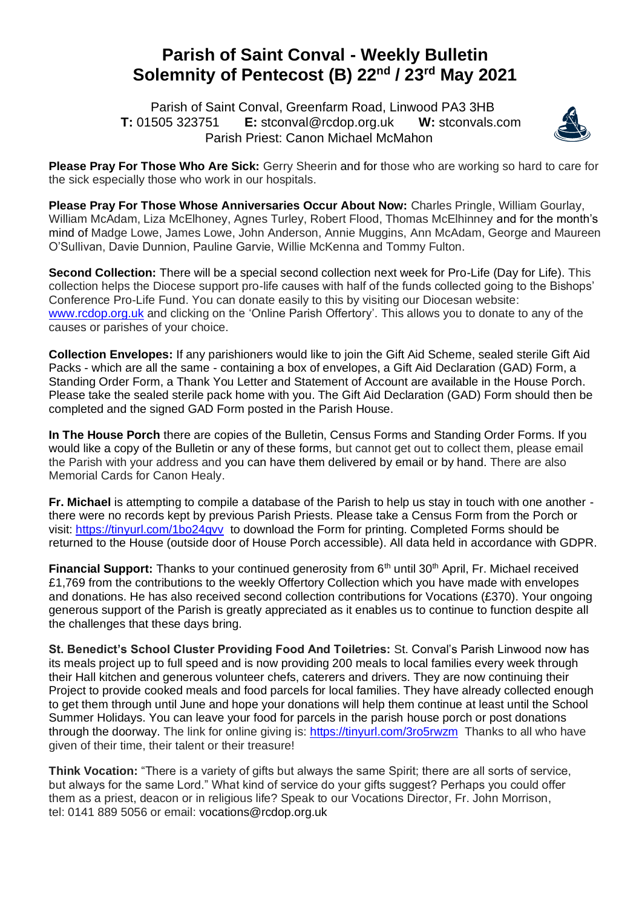## **Parish of Saint Conval - Weekly Bulletin Solemnity of Pentecost (B) 22nd / 23rd May 2021**

 Parish of Saint Conval, Greenfarm Road, Linwood PA3 3HB **T:** 01505 323751 **E:** [stconval@rcdop.org.uk](mailto:stconval@rcdop.org.uk) **W:** stconvals.com Parish Priest: Canon Michael McMahon



**Please Pray For Those Who Are Sick:** Gerry Sheerin and for those who are working so hard to care for the sick especially those who work in our hospitals.

**Please Pray For Those Whose Anniversaries Occur About Now:** Charles Pringle, William Gourlay, William McAdam, Liza McElhoney, Agnes Turley, Robert Flood, Thomas McElhinney and for the month's mind of Madge Lowe, James Lowe, John Anderson, Annie Muggins, Ann McAdam, George and Maureen O'Sullivan, Davie Dunnion, Pauline Garvie, Willie McKenna and Tommy Fulton.

**Second Collection:** There will be a special second collection next week for Pro-Life (Day for Life). This collection helps the Diocese support pro-life causes with half of the funds collected going to the Bishops' Conference Pro-Life Fund. You can donate easily to this by visiting our Diocesan website: [www.rcdop.org.uk](http://www.rcdop.org.uk/) and clicking on the 'Online Parish Offertory'. This allows you to donate to any of the causes or parishes of your choice.

**Collection Envelopes:** If any parishioners would like to join the Gift Aid Scheme, sealed sterile Gift Aid Packs - which are all the same - containing a box of envelopes, a Gift Aid Declaration (GAD) Form, a Standing Order Form, a Thank You Letter and Statement of Account are available in the House Porch. Please take the sealed sterile pack home with you. The Gift Aid Declaration (GAD) Form should then be completed and the signed GAD Form posted in the Parish House.

**In The House Porch** there are copies of the Bulletin, Census Forms and Standing Order Forms. If you would like a copy of the Bulletin or any of these forms, but cannot get out to collect them, please email the Parish with your address and you can have them delivered by email or by hand. There are also Memorial Cards for Canon Healy.

**Fr. Michael** is attempting to compile a database of the Parish to help us stay in touch with one another there were no records kept by previous Parish Priests. Please take a Census Form from the Porch or visit:<https://tinyurl.com/1bo24gvv> to download the Form for printing. Completed Forms should be returned to the House (outside door of House Porch accessible). All data held in accordance with GDPR.

**Financial Support:** Thanks to your continued generosity from 6<sup>th</sup> until 30<sup>th</sup> April, Fr. Michael received £1,769 from the contributions to the weekly Offertory Collection which you have made with envelopes and donations. He has also received second collection contributions for Vocations (£370). Your ongoing generous support of the Parish is greatly appreciated as it enables us to continue to function despite all the challenges that these days bring.

**St. Benedict's School Cluster Providing Food And Toiletries:** St. Conval's Parish Linwood now has its meals project up to full speed and is now providing 200 meals to local families every week through their Hall kitchen and generous volunteer chefs, caterers and drivers. They are now continuing their Project to provide cooked meals and food parcels for local families. They have already collected enough to get them through until June and hope your donations will help them continue at least until the School Summer Holidays. You can leave your food for parcels in the parish house porch or post donations through the doorway. The link for online giving is:<https://tinyurl.com/3ro5rwzm> Thanks to all who have given of their time, their talent or their treasure!

**Think Vocation:** "There is a variety of gifts but always the same Spirit; there are all sorts of service, but always for the same Lord." What kind of service do your gifts suggest? Perhaps you could offer them as a priest, deacon or in religious life? Speak to our Vocations Director, Fr. John Morrison, tel: 0141 889 5056 or email: [vocations@rcdop.org.uk](mailto:vocations@rcdop.org.uk)